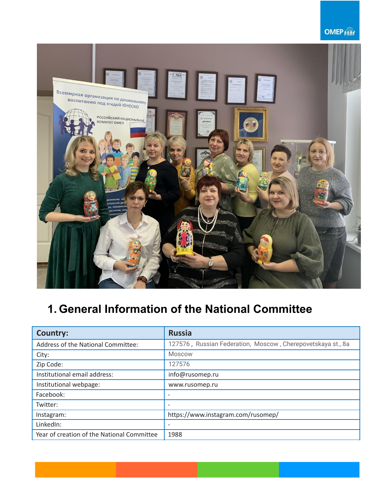### **OMEP Kitt**



# **1. General Information of the National Committee**

| Country:                                   | <b>Russia</b>                                               |
|--------------------------------------------|-------------------------------------------------------------|
| Address of the National Committee:         | 127576, Russian Federation, Moscow, Cherepovetskaya st., 8a |
| City:                                      | Moscow                                                      |
| Zip Code:                                  | 127576                                                      |
| Institutional email address:               | info@rusomep.ru                                             |
| Institutional webpage:                     | www.rusomep.ru                                              |
| Facebook:                                  |                                                             |
| Twitter:                                   |                                                             |
| Instagram:                                 | https://www.instagram.com/rusomep/                          |
| LinkedIn:                                  |                                                             |
| Year of creation of the National Committee | 1988                                                        |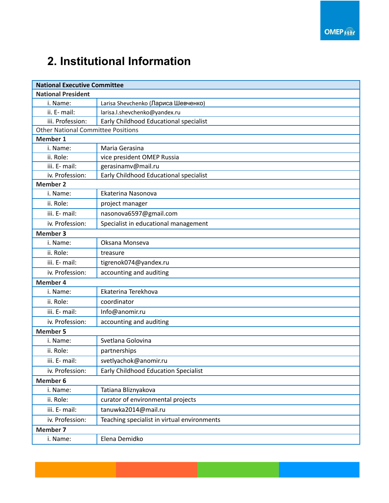# **2. Institutional Information**

| <b>National Executive Committee</b>       |                                             |  |
|-------------------------------------------|---------------------------------------------|--|
| <b>National President</b>                 |                                             |  |
| i. Name:                                  | Larisa Shevchenko (Лариса Шевченко)         |  |
| ii. E- mail:                              | larisa.l.shevchenko@yandex.ru               |  |
| iii. Profession:                          | Early Childhood Educational specialist      |  |
| <b>Other National Committee Positions</b> |                                             |  |
| <b>Member 1</b>                           |                                             |  |
| i. Name:                                  | Maria Gerasina                              |  |
| ii. Role:                                 | vice president OMEP Russia                  |  |
| iii. E- mail:                             | gerasinamv@mail.ru                          |  |
| iv. Profession:                           | Early Childhood Educational specialist      |  |
| <b>Member 2</b>                           |                                             |  |
| i. Name:                                  | Ekaterina Nasonova                          |  |
| ii. Role:                                 | project manager                             |  |
| iii. E- mail:                             | nasonova6597@gmail.com                      |  |
| iv. Profession:                           | Specialist in educational management        |  |
| <b>Member 3</b>                           |                                             |  |
| i. Name:                                  | Oksana Monseva                              |  |
| ii. Role:                                 | treasure                                    |  |
| iii. E- mail:                             | tigrenok074@yandex.ru                       |  |
| iv. Profession:                           | accounting and auditing                     |  |
| <b>Member 4</b>                           |                                             |  |
| i. Name:                                  | Ekaterina Terekhova                         |  |
| ii. Role:                                 | coordinator                                 |  |
| iii. E- mail:                             | Info@anomir.ru                              |  |
| iv. Profession:                           | accounting and auditing                     |  |
| <b>Member 5</b>                           |                                             |  |
| i. Name:                                  | Svetlana Golovina                           |  |
| ii. Role:                                 | partnerships                                |  |
| iii. E- mail:                             | svetlyachok@anomir.ru                       |  |
| iv. Profession:                           | <b>Early Childhood Education Specialist</b> |  |
| <b>Member 6</b>                           |                                             |  |
| i. Name:                                  | Tatiana Bliznyakova                         |  |
| ii. Role:                                 | curator of environmental projects           |  |
| iii. E- mail:                             | tanuwka2014@mail.ru                         |  |
| iv. Profession:                           | Teaching specialist in virtual environments |  |
| <b>Member 7</b>                           |                                             |  |
| i. Name:                                  | Elena Demidko                               |  |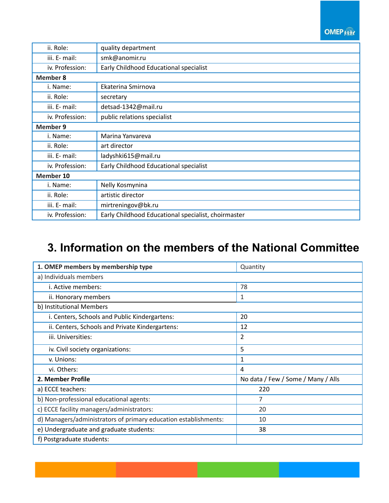#### **OMEP Kitt**

| ii. Role:       | quality department                                  |  |
|-----------------|-----------------------------------------------------|--|
| iii. E- mail:   | smk@anomir.ru                                       |  |
| iv. Profession: | Early Childhood Educational specialist              |  |
| <b>Member 8</b> |                                                     |  |
| i. Name:        | Ekaterina Smirnova                                  |  |
| ii. Role:       | secretary                                           |  |
| iii. E- mail:   | detsad-1342@mail.ru                                 |  |
| iv. Profession: | public relations specialist                         |  |
| <b>Member 9</b> |                                                     |  |
| i. Name:        | Marina Yanvareva                                    |  |
| ii. Role:       | art director                                        |  |
| iii. E- mail:   | ladyshki615@mail.ru                                 |  |
| iv. Profession: | Early Childhood Educational specialist              |  |
| Member 10       |                                                     |  |
| i. Name:        | Nelly Kosmynina                                     |  |
| ii. Role:       | artistic director                                   |  |
| iii. E- mail:   | mirtreningov@bk.ru                                  |  |
| iv. Profession: | Early Childhood Educational specialist, choirmaster |  |

## **3. Information on the members of the National Committee**

| 1. OMEP members by membership type                              | Quantity                           |
|-----------------------------------------------------------------|------------------------------------|
| a) Individuals members                                          |                                    |
| i. Active members:                                              | 78                                 |
| ii. Honorary members                                            | 1                                  |
| b) Institutional Members                                        |                                    |
| i. Centers, Schools and Public Kindergartens:                   | 20                                 |
| ii. Centers, Schools and Private Kindergartens:                 | 12                                 |
| iii. Universities:                                              | 2                                  |
| iv. Civil society organizations:                                | 5                                  |
| v. Unions:                                                      | 1                                  |
| vi. Others:                                                     | 4                                  |
| 2. Member Profile                                               | No data / Few / Some / Many / Alls |
| a) ECCE teachers:                                               | 220                                |
| b) Non-professional educational agents:                         | 7                                  |
| c) ECCE facility managers/administrators:                       | 20                                 |
| d) Managers/administrators of primary education establishments: | 10                                 |
| e) Undergraduate and graduate students:                         | 38                                 |
| f) Postgraduate students:                                       |                                    |